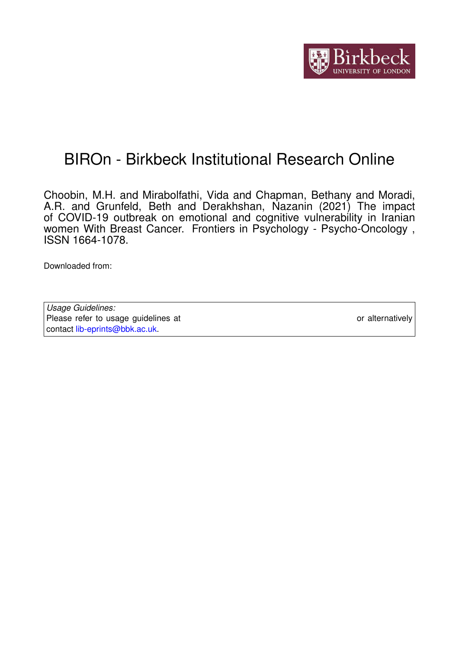

# BIROn - Birkbeck Institutional Research Online

Choobin, M.H. and Mirabolfathi, Vida and Chapman, Bethany and Moradi, A.R. and Grunfeld, Beth and Derakhshan, Nazanin (2021) The impact of COVID-19 outbreak on emotional and cognitive vulnerability in Iranian women With Breast Cancer. Frontiers in Psychology - Psycho-Oncology , ISSN 1664-1078.

Downloaded from: <https://eprints.bbk.ac.uk/id/eprint/44783/>

*Usage Guidelines:* Please refer to usage guidelines at <https://eprints.bbk.ac.uk/policies.html> or alternatively contact [lib-eprints@bbk.ac.uk.](mailto:lib-eprints@bbk.ac.uk)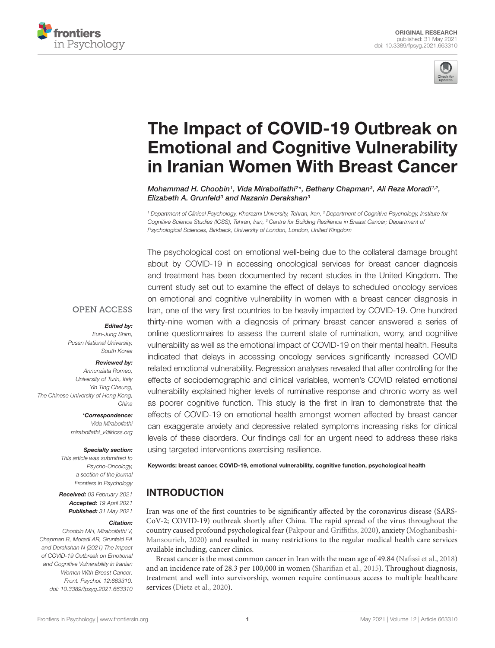



# The Impact of COVID-19 Outbreak on [Emotional and Cognitive Vulnerability](https://www.frontiersin.org/articles/10.3389/fpsyg.2021.663310/full) in Iranian Women With Breast Cancer

Mohammad H. Choobin1, Vida Mirabolfathi<sup>2\*</sup>, Bethany Chapman<sup>3</sup>, Ali Reza Moradi<sup>1,2</sup>, Elizabeth A. Grunfeld<sup>3</sup> and Nazanin Derakshan<sup>3</sup>

<sup>1</sup> Department of Clinical Psychology, Kharazmi University, Tehran, Iran, <sup>2</sup> Department of Cognitive Psychology, Institute for Cognitive Science Studies (ICSS), Tehran, Iran, <sup>3</sup> Centre for Building Resilience in Breast Cancer; Department of Psychological Sciences, Birkbeck, University of London, London, United Kingdom

The psychological cost on emotional well-being due to the collateral damage brought about by COVID-19 in accessing oncological services for breast cancer diagnosis and treatment has been documented by recent studies in the United Kingdom. The current study set out to examine the effect of delays to scheduled oncology services on emotional and cognitive vulnerability in women with a breast cancer diagnosis in Iran, one of the very first countries to be heavily impacted by COVID-19. One hundred thirty-nine women with a diagnosis of primary breast cancer answered a series of online questionnaires to assess the current state of rumination, worry, and cognitive vulnerability as well as the emotional impact of COVID-19 on their mental health. Results indicated that delays in accessing oncology services significantly increased COVID related emotional vulnerability. Regression analyses revealed that after controlling for the effects of sociodemographic and clinical variables, women's COVID related emotional vulnerability explained higher levels of ruminative response and chronic worry as well as poorer cognitive function. This study is the first in Iran to demonstrate that the effects of COVID-19 on emotional health amongst women affected by breast cancer can exaggerate anxiety and depressive related symptoms increasing risks for clinical levels of these disorders. Our findings call for an urgent need to address these risks using targeted interventions exercising resilience.

## **OPEN ACCESS**

#### Edited by:

Eun-Jung Shim, Pusan National University, South Korea

#### Reviewed by:

Annunziata Romeo, University of Turin, Italy Yin Ting Cheung, The Chinese University of Hong Kong, China

> \*Correspondence: Vida Mirabolfathi mirabolfathi\_v@iricss.org

#### Specialty section:

This article was submitted to Psycho-Oncology, a section of the journal Frontiers in Psychology

Received: 03 February 2021 Accepted: 19 April 2021 Published: 31 May 2021

#### Citation:

Choobin MH, Mirabolfathi V, Chapman B, Moradi AR, Grunfeld EA and Derakshan N (2021) The Impact of COVID-19 Outbreak on Emotional and Cognitive Vulnerability in Iranian Women With Breast Cancer. Front. Psychol. 12:663310. doi: [10.3389/fpsyg.2021.663310](https://doi.org/10.3389/fpsyg.2021.663310) Keywords: breast cancer, COVID-19, emotional vulnerability, cognitive function, psychological health

# INTRODUCTION

Iran was one of the first countries to be significantly affected by the coronavirus disease (SARS-CoV-2; COVID-19) outbreak shortly after China. The rapid spread of the virus throughout the country caused profound psychological fear [\(Pakpour and Griffiths,](#page-9-0) [2020\)](#page-9-0), anxiety [\(Moghanibashi-](#page-8-0)[Mansourieh,](#page-8-0) [2020\)](#page-8-0) and resulted in many restrictions to the regular medical health care services available including, cancer clinics.

Breast cancer is the most common cancer in Iran with the mean age of 49.84 [\(Nafissi et al.,](#page-8-1) [2018\)](#page-8-1) and an incidence rate of 28.3 per 100,000 in women [\(Sharifian et al.,](#page-9-1) [2015\)](#page-9-1). Throughout diagnosis, treatment and well into survivorship, women require continuous access to multiple healthcare services [\(Dietz et al.,](#page-8-2) [2020\)](#page-8-2).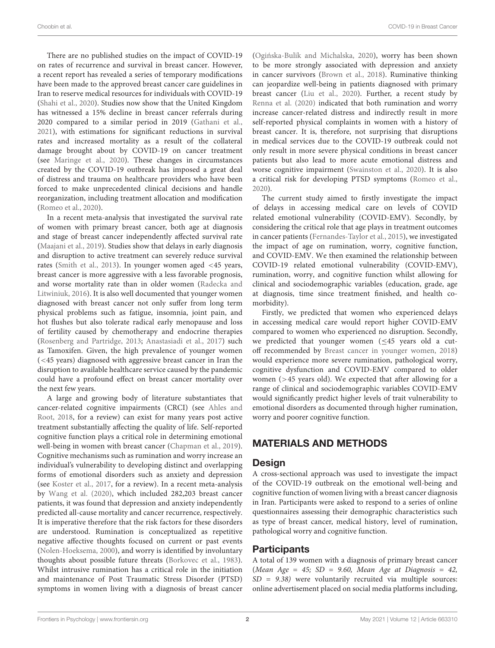There are no published studies on the impact of COVID-19 on rates of recurrence and survival in breast cancer. However, a recent report has revealed a series of temporary modifications have been made to the approved breast cancer care guidelines in Iran to reserve medical resources for individuals with COVID-19 [\(Shahi et al.,](#page-9-2) [2020\)](#page-9-2). Studies now show that the United Kingdom has witnessed a 15% decline in breast cancer referrals during 2020 compared to a similar period in 2019 [\(Gathani et al.,](#page-8-3) [2021\)](#page-8-3), with estimations for significant reductions in survival rates and increased mortality as a result of the collateral damage brought about by COVID-19 on cancer treatment (see [Maringe et al.,](#page-8-4) [2020\)](#page-8-4). These changes in circumstances created by the COVID-19 outbreak has imposed a great deal of distress and trauma on healthcare providers who have been forced to make unprecedented clinical decisions and handle reorganization, including treatment allocation and modification [\(Romeo et al.,](#page-9-3) [2020\)](#page-9-3).

In a recent meta-analysis that investigated the survival rate of women with primary breast cancer, both age at diagnosis and stage of breast cancer independently affected survival rate [\(Maajani et al.,](#page-8-5) [2019\)](#page-8-5). Studies show that delays in early diagnosis and disruption to active treatment can severely reduce survival rates [\(Smith et al.,](#page-9-4) [2013\)](#page-9-4). In younger women aged <45 years, breast cancer is more aggressive with a less favorable prognosis, and worse mortality rate than in older women [\(Radecka and](#page-9-5) [Litwiniuk,](#page-9-5) [2016\)](#page-9-5). It is also well documented that younger women diagnosed with breast cancer not only suffer from long term physical problems such as fatigue, insomnia, joint pain, and hot flushes but also tolerate radical early menopause and loss of fertility caused by chemotherapy and endocrine therapies [\(Rosenberg and Partridge,](#page-9-6) [2013;](#page-9-6) [Anastasiadi et al.,](#page-8-6) [2017\)](#page-8-6) such as Tamoxifen. Given, the high prevalence of younger women (<45 years) diagnosed with aggressive breast cancer in Iran the disruption to available healthcare service caused by the pandemic could have a profound effect on breast cancer mortality over the next few years.

A large and growing body of literature substantiates that cancer-related cognitive impairments (CRCI) (see [Ahles and](#page-8-7) [Root,](#page-8-7) [2018,](#page-8-7) for a review) can exist for many years post active treatment substantially affecting the quality of life. Self-reported cognitive function plays a critical role in determining emotional well-being in women with breast cancer [\(Chapman et al.,](#page-8-8) [2019\)](#page-8-8). Cognitive mechanisms such as rumination and worry increase an individual's vulnerability to developing distinct and overlapping forms of emotional disorders such as anxiety and depression (see [Koster et al.,](#page-8-9) [2017,](#page-8-9) for a review). In a recent meta-analysis by [Wang et al.](#page-9-7) [\(2020\)](#page-9-7), which included 282,203 breast cancer patients, it was found that depression and anxiety independently predicted all-cause mortality and cancer recurrence, respectively. It is imperative therefore that the risk factors for these disorders are understood. Rumination is conceptualized as repetitive negative affective thoughts focused on current or past events [\(Nolen-Hoeksema,](#page-8-10) [2000\)](#page-8-10), and worry is identified by involuntary thoughts about possible future threats [\(Borkovec et al.,](#page-8-11) [1983\)](#page-8-11). Whilst intrusive rumination has a critical role in the initiation and maintenance of Post Traumatic Stress Disorder (PTSD) symptoms in women living with a diagnosis of breast cancer

(Ogińska-Bulik and Michalska, [2020\)](#page-8-12), worry has been shown to be more strongly associated with depression and anxiety in cancer survivors [\(Brown et al.,](#page-8-13) [2018\)](#page-8-13). Ruminative thinking can jeopardize well-being in patients diagnosed with primary breast cancer [\(Liu et al.,](#page-8-14) [2020\)](#page-8-14). Further, a recent study by [Renna et al.](#page-9-8) [\(2020\)](#page-9-8) indicated that both rumination and worry increase cancer-related distress and indirectly result in more self-reported physical complaints in women with a history of breast cancer. It is, therefore, not surprising that disruptions in medical services due to the COVID-19 outbreak could not only result in more severe physical conditions in breast cancer patients but also lead to more acute emotional distress and worse cognitive impairment [\(Swainston et al.,](#page-9-9) [2020\)](#page-9-9). It is also a critical risk for developing PTSD symptoms [\(Romeo et al.,](#page-9-3) [2020\)](#page-9-3).

The current study aimed to firstly investigate the impact of delays in accessing medical care on levels of COVID related emotional vulnerability (COVID-EMV). Secondly, by considering the critical role that age plays in treatment outcomes in cancer patients [\(Fernandes-Taylor et al.,](#page-8-15) [2015\)](#page-8-15), we investigated the impact of age on rumination, worry, cognitive function, and COVID-EMV. We then examined the relationship between COVID-19 related emotional vulnerability (COVID-EMV), rumination, worry, and cognitive function whilst allowing for clinical and sociodemographic variables (education, grade, age at diagnosis, time since treatment finished, and health comorbidity).

Firstly, we predicted that women who experienced delays in accessing medical care would report higher COVID-EMV compared to women who experienced no disruption. Secondly, we predicted that younger women (≤45 years old a cutoff recommended by [Breast cancer in younger women,](#page-8-16) [2018\)](#page-8-16) would experience more severe rumination, pathological worry, cognitive dysfunction and COVID-EMV compared to older women (>45 years old). We expected that after allowing for a range of clinical and sociodemographic variables COVID-EMV would significantly predict higher levels of trait vulnerability to emotional disorders as documented through higher rumination, worry and poorer cognitive function.

# MATERIALS AND METHODS

#### Design

A cross-sectional approach was used to investigate the impact of the COVID-19 outbreak on the emotional well-being and cognitive function of women living with a breast cancer diagnosis in Iran. Participants were asked to respond to a series of online questionnaires assessing their demographic characteristics such as type of breast cancer, medical history, level of rumination, pathological worry and cognitive function.

#### **Participants**

A total of 139 women with a diagnosis of primary breast cancer (Mean Age = 45;  $SD = 9.60$ , Mean Age at Diagnosis = 42,  $SD = 9.38$ ) were voluntarily recruited via multiple sources: online advertisement placed on social media platforms including,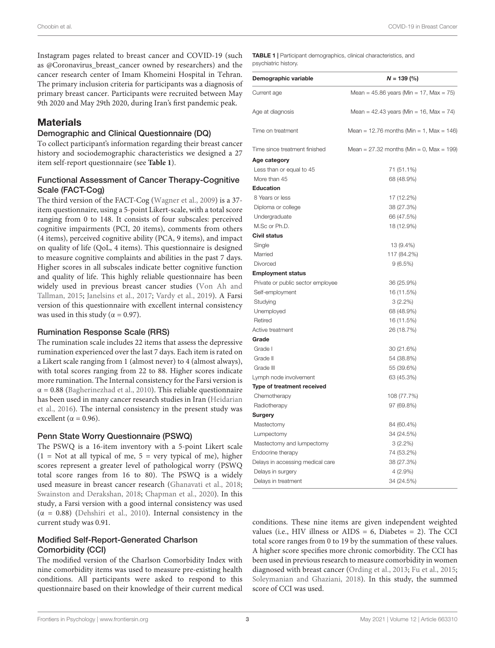Instagram pages related to breast cancer and COVID-19 (such as @Coronavirus\_breast\_cancer owned by researchers) and the cancer research center of Imam Khomeini Hospital in Tehran. The primary inclusion criteria for participants was a diagnosis of primary breast cancer. Participants were recruited between May 9th 2020 and May 29th 2020, during Iran's first pandemic peak.

#### **Materials**

#### Demographic and Clinical Questionnaire (DQ)

To collect participant's information regarding their breast cancer history and sociodemographic characteristics we designed a 27 item self-report questionnaire (see **[Table 1](#page-3-0)**).

#### Functional Assessment of Cancer Therapy-Cognitive Scale (FACT-Cog)

The third version of the FACT-Cog [\(Wagner et al.,](#page-9-10) [2009\)](#page-9-10) is a 37 item questionnaire, using a 5-point Likert-scale, with a total score ranging from 0 to 148. It consists of four subscales: perceived cognitive impairments (PCI, 20 items), comments from others (4 items), perceived cognitive ability (PCA, 9 items), and impact on quality of life (QoL, 4 items). This questionnaire is designed to measure cognitive complaints and abilities in the past 7 days. Higher scores in all subscales indicate better cognitive function and quality of life. This highly reliable questionnaire has been widely used in previous breast cancer studies [\(Von Ah and](#page-9-11) [Tallman,](#page-9-11) [2015;](#page-9-11) [Janelsins et al.,](#page-8-17) [2017;](#page-8-17) [Vardy et al.,](#page-9-12) [2019\)](#page-9-12). A Farsi version of this questionnaire with excellent internal consistency was used in this study ( $\alpha = 0.97$ ).

#### Rumination Response Scale (RRS)

The rumination scale includes 22 items that assess the depressive rumination experienced over the last 7 days. Each item is rated on a Likert scale ranging from 1 (almost never) to 4 (almost always), with total scores ranging from 22 to 88. Higher scores indicate more rumination. The Internal consistency for the Farsi version is  $\alpha$  = 0.88 [\(Bagherinezhad et al.,](#page-8-18) [2010\)](#page-8-18). This reliable questionnaire has been used in many cancer research studies in Iran [\(Heidarian](#page-8-19) [et al.,](#page-8-19) [2016\)](#page-8-19). The internal consistency in the present study was excellent ( $\alpha$  = 0.96).

#### Penn State Worry Questionnaire (PSWQ)

The PSWQ is a 16-item inventory with a 5-point Likert scale  $(1 = Not at all typical of me, 5 = very typical of me), higher$ scores represent a greater level of pathological worry (PSWQ total score ranges from 16 to 80). The PSWQ is a widely used measure in breast cancer research [\(Ghanavati et al.,](#page-8-20) [2018;](#page-8-20) [Swainston and Derakshan,](#page-9-13) [2018;](#page-9-13) [Chapman et al.,](#page-8-21) [2020\)](#page-8-21). In this study, a Farsi version with a good internal consistency was used ( $\alpha$  = 0.88) [\(Dehshiri et al.,](#page-8-22) [2010\)](#page-8-22). Internal consistency in the current study was 0.91.

#### Modified Self-Report-Generated Charlson Comorbidity (CCI)

The modified version of the Charlson Comorbidity Index with nine comorbidity items was used to measure pre-existing health conditions. All participants were asked to respond to this questionnaire based on their knowledge of their current medical

<span id="page-3-0"></span>TABLE 1 | Participant demographics, clinical characteristics, and psychiatric history.

| Demographic variable              | $N = 139$ (%)                                   |
|-----------------------------------|-------------------------------------------------|
| Current age                       | Mean = $45.86$ years (Min = $17$ , Max = $75$ ) |
| Age at diagnosis                  | Mean = 42.43 years (Min = 16, Max = 74)         |
| Time on treatment                 | Mean = $12.76$ months (Min = 1, Max = 146)      |
| Time since treatment finished     | Mean = $27.32$ months (Min = 0, Max = 199)      |
| Age category                      |                                                 |
| Less than or equal to 45          | 71 (51.1%)                                      |
| More than 45                      | 68 (48.9%)                                      |
| <b>Education</b>                  |                                                 |
| 8 Years or less                   | 17 (12.2%)                                      |
| Diploma or college                | 38 (27.3%)                                      |
| Undergraduate                     | 66 (47.5%)                                      |
| M.Sc or Ph.D.                     | 18 (12.9%)                                      |
| <b>Civil status</b>               |                                                 |
| Single                            | 13 (9.4%)                                       |
| Married                           | 117 (84.2%)                                     |
| Divorced                          | 9(6.5%)                                         |
| <b>Employment status</b>          |                                                 |
| Private or public sector employee | 36 (25.9%)                                      |
| Self-employment                   | 16 (11.5%)                                      |
| Studying                          | $3(2.2\%)$                                      |
| Unemployed                        | 68 (48.9%)                                      |
| Retired                           | 16 (11.5%)                                      |
| Active treatment                  | 26 (18.7%)                                      |
| Grade                             |                                                 |
| Grade I                           | 30 (21.6%)                                      |
| Grade II                          | 54 (38.8%)                                      |
| Grade III                         | 55 (39.6%)                                      |
| Lymph node involvement            | 63 (45.3%)                                      |
| Type of treatment received        |                                                 |
| Chemotherapy                      | 108 (77.7%)                                     |
| Radiotherapy                      | 97 (69.8%)                                      |
| Surgery                           |                                                 |
| Mastectomy                        | 84 (60.4%)                                      |
| Lumpectomy                        | 34 (24.5%)                                      |
| Mastectomy and lumpectomy         | $3(2.2\%)$                                      |
| Endocrine therapy                 | 74 (53.2%)                                      |
| Delays in accessing medical care  | 38 (27.3%)                                      |
| Delays in surgery                 | $4(2.9\%)$                                      |
| Delays in treatment               | 34 (24.5%)                                      |

conditions. These nine items are given independent weighted values (i.e., HIV illness or  $AIDS = 6$ , Diabetes = 2). The CCI total score ranges from 0 to 19 by the summation of these values. A higher score specifies more chronic comorbidity. The CCI has been used in previous research to measure comorbidity in women diagnosed with breast cancer [\(Ording et al.,](#page-9-14) [2013;](#page-9-14) [Fu et al.,](#page-8-23) [2015;](#page-8-23) [Soleymanian and Ghaziani,](#page-9-15) [2018\)](#page-9-15). In this study, the summed score of CCI was used.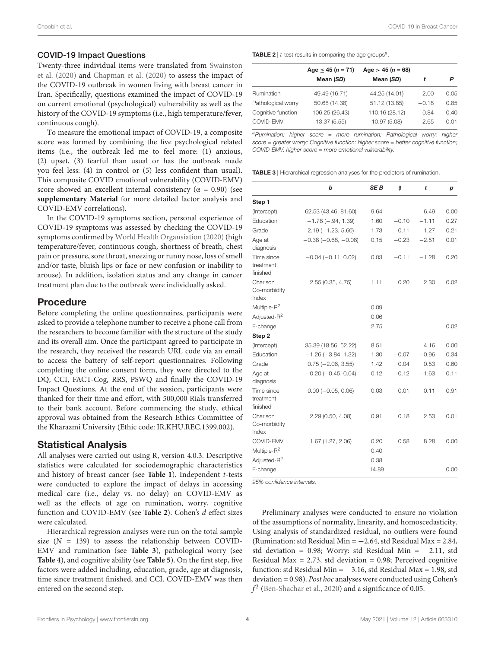#### COVID-19 Impact Questions

Twenty-three individual items were translated from [Swainston](#page-9-9) [et al.](#page-9-9) [\(2020\)](#page-9-9) and [Chapman et al.](#page-8-21) [\(2020\)](#page-8-21) to assess the impact of the COVID-19 outbreak in women living with breast cancer in Iran. Specifically, questions examined the impact of COVID-19 on current emotional (psychological) vulnerability as well as the history of the COVID-19 symptoms (i.e., high temperature/fever, continuous cough).

To measure the emotional impact of COVID-19, a composite score was formed by combining the five psychological related items (i.e., the outbreak led me to feel more: (1) anxious, (2) upset, (3) fearful than usual or has the outbreak made you feel less: (4) in control or (5) less confident than usual). This composite COVID emotional vulnerability (COVID-EMV) score showed an excellent internal consistency ( $\alpha = 0.90$ ) (see **[supplementary Material](#page-8-24)** for more detailed factor analysis and COVID-EMV correlations).

In the COVID-19 symptoms section, personal experience of COVID-19 symptoms was assessed by checking the COVID-19 symptoms confirmed by [World Health Organsiation](#page-9-16) [\(2020\)](#page-9-16) (high temperature/fever, continuous cough, shortness of breath, chest pain or pressure, sore throat, sneezing or runny nose, loss of smell and/or taste, bluish lips or face or new confusion or inability to arouse). In addition, isolation status and any change in cancer treatment plan due to the outbreak were individually asked.

## Procedure

Before completing the online questionnaires, participants were asked to provide a telephone number to receive a phone call from the researchers to become familiar with the structure of the study and its overall aim. Once the participant agreed to participate in the research, they received the research URL code via an email to access the battery of self-report questionnaires. Following completing the online consent form, they were directed to the DQ, CCI, FACT-Cog, RRS, PSWQ and finally the COVID-19 Impact Questions. At the end of the session, participants were thanked for their time and effort, with 500,000 Rials transferred to their bank account. Before commencing the study, ethical approval was obtained from the Research Ethics Committee of the Kharazmi University (Ethic code: IR.KHU.REC.1399.002).

#### Statistical Analysis

All analyses were carried out using R, version 4.0.3. Descriptive statistics were calculated for sociodemographic characteristics and history of breast cancer (see **[Table 1](#page-3-0)**). Independent t-tests were conducted to explore the impact of delays in accessing medical care (i.e., delay vs. no delay) on COVID-EMV as well as the effects of age on rumination, worry, cognitive function and COVID-EMV (see **[Table 2](#page-4-0)**). Cohen's d effect sizes were calculated.

Hierarchical regression analyses were run on the total sample size  $(N = 139)$  to assess the relationship between COVID-EMV and rumination (see **[Table 3](#page-4-1)**), pathological worry (see **[Table 4](#page-5-0)**), and cognitive ability (see **[Table 5](#page-5-1)**). On the first step, five factors were added including, education, grade, age at diagnosis, time since treatment finished, and CCI. COVID-EMV was then entered on the second step.

<span id="page-4-0"></span>**TABLE 2** |  $t$ -test results in comparing the age groups<sup>a</sup>.

|                    | Age $\leq$ 45 (n = 71) | Age $>$ 45 (n = 68) |         |      |  |
|--------------------|------------------------|---------------------|---------|------|--|
|                    | Mean (SD)              | Mean (SD)           |         | Ρ    |  |
| Rumination         | 49.49 (16.71)          | 44.25 (14.01)       | 2.00    | 0.05 |  |
| Pathological worry | 50.68 (14.38)          | 51.12 (13.85)       | $-0.18$ | 0.85 |  |
| Cognitive function | 106.25 (26.43)         | 110.16 (28.12)      | $-0.84$ | 0.40 |  |
| COVID-EMV          | 13.37 (5.55)           | 10.97 (5.08)        | 2.65    | 0.01 |  |

aRumination: higher score = more rumination; Pathological worry: higher score = greater worry; Cognitive function: higher score = better cognitive function; COVID-EMV: higher score = more emotional vulnerability.

<span id="page-4-1"></span>TABLE 3 | Hierarchical regression analyses for the predictors of rumination.

|                                                                 | b                         | SE B                 | β       | t       | р    |
|-----------------------------------------------------------------|---------------------------|----------------------|---------|---------|------|
| Step 1                                                          |                           |                      |         |         |      |
| (Intercept)                                                     | 62.53 (43.46, 81.60)      | 9.64                 |         | 6.49    | 0.00 |
| Education                                                       | $-1.78(-.94, 1.39)$       | 1.60                 | $-0.10$ | $-1.11$ | 0.27 |
| Grade                                                           | $2.19(-1.23, 5.60)$       | 1.73                 | 0.11    | 1.27    | 0.21 |
| Age at<br>diagnosis                                             | $-0.38$ $(-0.68, -0.08)$  | 0.15                 | $-0.23$ | $-2.51$ | 0.01 |
| Time since<br>treatment<br>finished                             | $-0.04$ ( $-0.11$ , 0.02) | 0.03                 | $-0.11$ | $-1.28$ | 0.20 |
| Charlson<br>Co-morbidity<br>Index                               | 2.55(0.35, 4.75)          | 1.11                 | 0.20    | 2.30    | 0.02 |
| Multiple-R <sup>2</sup>                                         |                           | 0.09                 |         |         |      |
| Adjusted-R <sup>2</sup>                                         |                           | 0.06                 |         |         |      |
| F-change                                                        |                           | 2.75                 |         |         | 0.02 |
| Step 2                                                          |                           |                      |         |         |      |
| (Intercept)                                                     | 35.39 (18.56, 52.22)      | 8.51                 |         | 4.16    | 0.00 |
| Education                                                       | $-1.26$ ( $-3.84$ , 1.32) | 1.30                 | $-0.07$ | $-0.96$ | 0.34 |
| Grade                                                           | $0.75 (-2.06, 3.55)$      | 1.42                 | 0.04    | 0.53    | 0.60 |
| Age at<br>diagnosis                                             | $-0.20$ ( $-0.45$ , 0.04) | 0.12                 | $-0.12$ | $-1.63$ | 0.11 |
| Time since<br>treatment<br>finished                             | $0.00 (-0.05, 0.06)$      | 0.03                 | 0.01    | 0.11    | 0.91 |
| Charlson<br>Co-morbidity<br>Index                               | 2.29(0.50, 4.08)          | 0.91                 | 0.18    | 2.53    | 0.01 |
| COVID-EMV<br>Multiple-R <sup>2</sup><br>Adjusted-R <sup>2</sup> | 1.67 (1.27, 2.06)         | 0.20<br>0.40<br>0.38 | 0.58    | 8.28    | 0.00 |
| F-change                                                        |                           | 14.89                |         |         | 0.00 |

95% confidence intervals.

Preliminary analyses were conducted to ensure no violation of the assumptions of normality, linearity, and homoscedasticity. Using analysis of standardized residual, no outliers were found (Rumination: std Residual Min =  $-2.64$ , std Residual Max = 2.84, std deviation = 0.98; Worry: std Residual Min = −2.11, std Residual Max = 2.73, std deviation = 0.98; Perceived cognitive function: std Residual Min =  $-3.16$ , std Residual Max = 1.98, std deviation = 0.98). Post hoc analyses were conducted using Cohen's  $f^2$  [\(Ben-Shachar et al.,](#page-8-25) [2020\)](#page-8-25) and a significance of 0.05.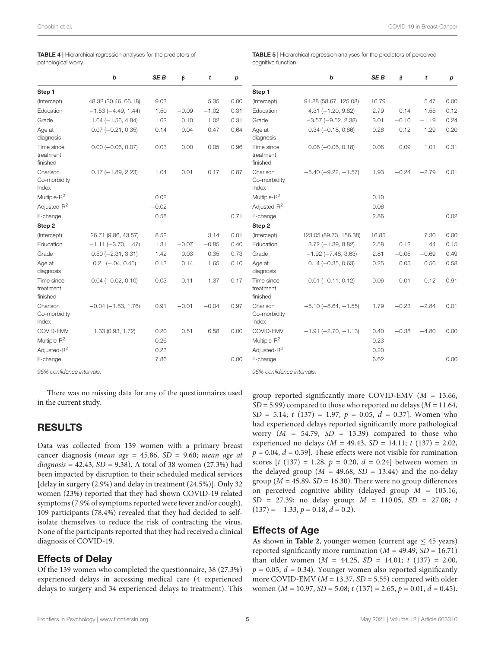<span id="page-5-0"></span>

|                        | <b>TABLE 4</b>   Hierarchical regression analyses for the predictors of |
|------------------------|-------------------------------------------------------------------------|
| المعصيب احمامها مطغمون |                                                                         |

pathological worry.

|                                     | b                       | <b>SEB</b> | β       | t       | р    |
|-------------------------------------|-------------------------|------------|---------|---------|------|
| Step 1                              |                         |            |         |         |      |
| (Intercept)                         | 48.32 (30.46, 66.18)    | 9.03       |         | 5.35    | 0.00 |
| Education                           | $-1.53(-4.49, 1.44)$    | 1.50       | $-0.09$ | $-1.02$ | 0.31 |
| Grade                               | $1.64 (-1.56, 4.84)$    | 1.62       | 0.10    | 1.02    | 0.31 |
| Age at<br>diagnosis                 | $0.07 (-0.21, 0.35)$    | 0.14       | 0.04    | 0.47    | 0.64 |
| Time since<br>treatment<br>finished | $0.00 (-0.06, 0.07)$    | 0.03       | 0.00    | 0.05    | 0.96 |
| Charlson<br>Co-morbidity<br>Index   | $0.17 (-1.89, 2.23)$    | 1.04       | 0.01    | 0.17    | 0.87 |
| Multiple- $R^2$                     |                         | 0.02       |         |         |      |
| Adjusted-R <sup>2</sup>             |                         | $-0.02$    |         |         |      |
| F-change                            |                         | 0.58       |         |         | 0.71 |
| Step <sub>2</sub>                   |                         |            |         |         |      |
| (Intercept)                         | 26.71 (9.86, 43.57)     | 8.52       |         | 3.14    | 0.01 |
| Education                           | $-1.11(-3.70, 1.47)$    | 1.31       | $-0.07$ | $-0.85$ | 0.40 |
| Grade                               | $0.50 (-2.31, 3.31)$    | 1.42       | 0.03    | 0.35    | 0.73 |
| Age at<br>diagnosis                 | $0.21 (-.04, 0.45)$     | 0.13       | 0.14    | 1.65    | 0.10 |
| Time since<br>treatment<br>finished | $0.04 (-0.02, 0.10)$    | 0.03       | 0.11    | 1.37    | 0.17 |
| Charlson<br>Co-morbidity<br>Index   | $-0.04$ $(-1.83, 1.76)$ | 0.91       | $-0.01$ | $-0.04$ | 0.97 |
| COVID-EMV                           | 1.33 (0.93, 1.72)       | 0.20       | 0.51    | 6.58    | 0.00 |
| Multiple-R <sup>2</sup>             |                         | 0.26       |         |         |      |
| Adjusted-R <sup>2</sup>             |                         | 0.23       |         |         |      |
| F-change                            |                         | 7.86       |         |         | 0.00 |

95% confidence intervals.

There was no missing data for any of the questionnaires used in the current study.

## RESULTS

Data was collected from 139 women with a primary breast cancer diagnosis (mean age =  $45.86$ , SD =  $9.60$ ; mean age at  $diagonosis = 42.43, SD = 9.38$ . A total of 38 women (27.3%) had been impacted by disruption to their scheduled medical services [delay in surgery (2.9%) and delay in treatment (24.5%)]. Only 32 women (23%) reported that they had shown COVID-19 related symptoms (7.9% of symptoms reported were fever and/or cough). 109 participants (78.4%) revealed that they had decided to selfisolate themselves to reduce the risk of contracting the virus. None of the participants reported that they had received a clinical diagnosis of COVID-19.

#### Effects of Delay

Of the 139 women who completed the questionnaire, 38 (27.3%) experienced delays in accessing medical care (4 experienced delays to surgery and 34 experienced delays to treatment). This <span id="page-5-1"></span>TABLE 5 | Hierarchical regression analyses for the predictors of perceived cognitive function.

|                                      | b                          | <b>SEB</b>   | β       | t       | р    |
|--------------------------------------|----------------------------|--------------|---------|---------|------|
| Step 1                               |                            |              |         |         |      |
| (Intercept)                          | 91.88 (58.67, 125.08)      | 16.79        |         | 5.47    | 0.00 |
| Education                            | $4.31 (-1.20, 9.82)$       | 2.79         | 0.14    | 1.55    | 0.12 |
| Grade                                | $-3.57$ $(-9.52, 2.38)$    | 3.01         | $-0.10$ | $-1.19$ | 0.24 |
| Age at<br>diagnosis                  | $0.34 (-0.18, 0.86)$       | 0.26         | 0.12    | 1.29    | 0.20 |
| Time since<br>treatment<br>finished  | $0.06 (-0.06, 0.18)$       | 0.06         | 0.09    | 1.01    | 0.31 |
| Charlson<br>Co-morbidity<br>Index    | $-5.40$ ( $-9.22, -1.57$ ) | 1.93         | $-0.24$ | $-2.79$ | 0.01 |
| Multiple-R <sup>2</sup>              |                            | 0.10         |         |         |      |
| Adjusted-R <sup>2</sup>              |                            | 0.06         |         |         |      |
| F-change                             |                            | 2.86         |         |         | 0.02 |
| Step <sub>2</sub>                    |                            |              |         |         |      |
| (Intercept)                          | 123.05 (89.73, 156.38)     | 16.85        |         | 7.30    | 0.00 |
| Education                            | $3.72(-1.39, 8.82)$        | 2.58         | 0.12    | 1.44    | 0.15 |
| Grade                                | $-1.92(-7.48, 3.63)$       | 2.81         | $-0.05$ | $-0.69$ | 0.49 |
| Age at<br>diagnosis                  | $0.14 (-0.35, 0.63)$       | 0.25         | 0.05    | 0.56    | 0.58 |
| Time since<br>treatment<br>finished  | $0.01 (-0.11, 0.12)$       | 0.06         | 0.01    | 0.12    | 0.91 |
| Charlson<br>Co-morbidity<br>Index    | $-5.10(-8.64, -1.55)$      | 1.79         | $-0.23$ | $-2.84$ | 0.01 |
| COVID-EMV<br>Multiple-R <sup>2</sup> | $-1.91 (-2.70, -1.13)$     | 0.40<br>0.23 | $-0.38$ | $-4.80$ | 0.00 |
| Adjusted-R <sup>2</sup>              |                            | 0.20         |         |         |      |
| F-change                             |                            | 6.62         |         |         | 0.00 |

95% confidence intervals.

group reported significantly more COVID-EMV ( $M = 13.66$ ,  $SD = 5.99$ ) compared to those who reported no delays ( $M = 11.64$ ,  $SD = 5.14$ ; t (137) = 1.97,  $p = 0.05$ ,  $d = 0.37$ ]. Women who had experienced delays reported significantly more pathological worry  $(M = 54.79, SD = 13.39)$  compared to those who experienced no delays ( $M = 49.43$ ,  $SD = 14.11$ ;  $t(137) = 2.02$ ,  $p = 0.04$ ,  $d = 0.39$ . These effects were not visible for rumination scores  $[t (137) = 1.28, p = 0.20, d = 0.24]$  between women in the delayed group ( $M = 49.68$ ,  $SD = 13.44$ ) and the no-delay group ( $M = 45.89$ ,  $SD = 16.30$ ). There were no group differences on perceived cognitive ability (delayed group  $M = 103.16$ ,  $SD = 27.39$ ; no delay group:  $M = 110.05$ ,  $SD = 27.08$ ; t  $(137) = -1.33, p = 0.18, d = 0.2$ .

#### Effects of Age

As shown in **[Table 2](#page-4-0)**, younger women (current age  $\leq$  45 years) reported significantly more rumination ( $M = 49.49$ ,  $SD = 16.71$ ) than older women  $(M = 44.25, SD = 14.01; t (137) = 2.00,$  $p = 0.05$ ,  $d = 0.34$ ). Younger women also reported significantly more COVID-EMV ( $M = 13.37$ ,  $SD = 5.55$ ) compared with older women ( $M = 10.97$ ,  $SD = 5.08$ ;  $t(137) = 2.65$ ,  $p = 0.01$ ,  $d = 0.45$ ).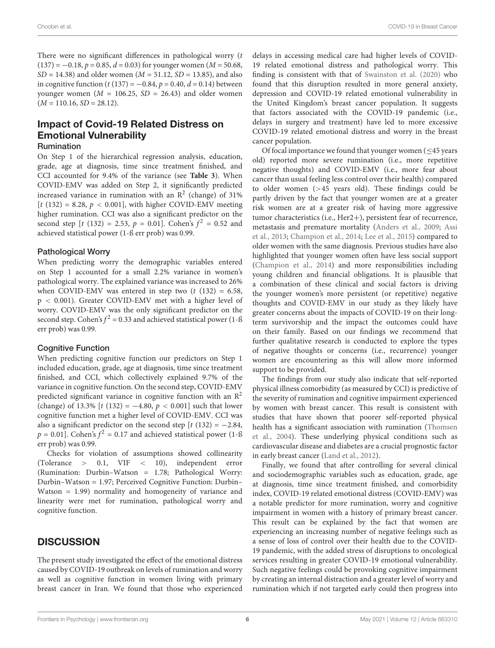There were no significant differences in pathological worry  $(t)$  $(137) = -0.18$ ,  $p = 0.85$ ,  $d = 0.03$ ) for younger women ( $M = 50.68$ ),  $SD = 14.38$ ) and older women ( $M = 51.12$ ,  $SD = 13.85$ ), and also in cognitive function (t (137) =  $-0.84$ , p = 0.40, d = 0.14) between younger women ( $M = 106.25$ ,  $SD = 26.43$ ) and older women  $(M = 110.16, SD = 28.12).$ 

# Impact of Covid-19 Related Distress on Emotional Vulnerability

#### Rumination

On Step 1 of the hierarchical regression analysis, education, grade, age at diagnosis, time since treatment finished, and CCI accounted for 9.4% of the variance (see **[Table 3](#page-4-1)**). When COVID-EMV was added on Step 2, it significantly predicted increased variance in rumination with an  $\mathbb{R}^2$  (change) of 31%  $[t (132) = 8.28, p < 0.001]$ , with higher COVID-EMV meeting higher rumination. CCI was also a significant predictor on the second step [t (132) = 2.53,  $p = 0.01$ ]. Cohen's  $f^2 = 0.52$  and achieved statistical power (1-ß err prob) was 0.99.

#### Pathological Worry

When predicting worry the demographic variables entered on Step 1 accounted for a small 2.2% variance in women's pathological worry. The explained variance was increased to 26% when COVID-EMV was entered in step two  $(t$  (132) = 6.58, p < 0.001). Greater COVID-EMV met with a higher level of worry. COVID-EMV was the only significant predictor on the second step. Cohen's  $f^2 = 0.33$  and achieved statistical power (1-ß err prob) was 0.99.

#### Cognitive Function

When predicting cognitive function our predictors on Step 1 included education, grade, age at diagnosis, time since treatment finished, and CCI, which collectively explained 9.7% of the variance in cognitive function. On the second step, COVID-EMV predicted significant variance in cognitive function with an  $\mathbb{R}^2$ (change) of 13.3% [t (132) =  $-4.80, p < 0.001$ ] such that lower cognitive function met a higher level of COVID-EMV. CCI was also a significant predictor on the second step  $[t (132) = -2.84,$  $p = 0.01$ ]. Cohen's  $f^2 = 0.17$  and achieved statistical power (1-ß err prob) was 0.99.

Checks for violation of assumptions showed collinearity (Tolerance > 0.1, VIF < 10), independent error (Rumination: Durbin–Watson = 1.78; Pathological Worry: Durbin–Watson = 1.97; Perceived Cognitive Function: Durbin– Watson = 1.99) normality and homogeneity of variance and linearity were met for rumination, pathological worry and cognitive function.

#### **DISCUSSION**

The present study investigated the effect of the emotional distress caused by COVID-19 outbreak on levels of rumination and worry as well as cognitive function in women living with primary breast cancer in Iran. We found that those who experienced

delays in accessing medical care had higher levels of COVID-19 related emotional distress and pathological worry. This finding is consistent with that of [Swainston et al.](#page-9-9) [\(2020\)](#page-9-9) who found that this disruption resulted in more general anxiety, depression and COVID-19 related emotional vulnerability in the United Kingdom's breast cancer population. It suggests that factors associated with the COVID-19 pandemic (i.e., delays in surgery and treatment) have led to more excessive COVID-19 related emotional distress and worry in the breast cancer population.

Of focal importance we found that younger women (≤45 years old) reported more severe rumination (i.e., more repetitive negative thoughts) and COVID-EMV (i.e., more fear about cancer than usual feeling less control over their health) compared to older women (>45 years old). These findings could be partly driven by the fact that younger women are at a greater risk women are at a greater risk of having more aggressive tumor characteristics (i.e., Her2+), persistent fear of recurrence, metastasis and premature mortality [\(Anders et al.,](#page-8-26) [2009;](#page-8-26) [Assi](#page-8-27) [et al.,](#page-8-27) [2013;](#page-8-27) [Champion et al.,](#page-8-28) [2014;](#page-8-28) [Lee et al.,](#page-8-29) [2015\)](#page-8-29) compared to older women with the same diagnosis. Previous studies have also highlighted that younger women often have less social support [\(Champion et al.,](#page-8-28) [2014\)](#page-8-28) and more responsibilities including young children and financial obligations. It is plausible that a combination of these clinical and social factors is driving the younger women's more persistent (or repetitive) negative thoughts and COVID-EMV in our study as they likely have greater concerns about the impacts of COVID-19 on their longterm survivorship and the impact the outcomes could have on their family. Based on our findings we recommend that further qualitative research is conducted to explore the types of negative thoughts or concerns (i.e., recurrence) younger women are encountering as this will allow more informed support to be provided.

The findings from our study also indicate that self-reported physical illness comorbidity (as measured by CCI) is predictive of the severity of rumination and cognitive impairment experienced by women with breast cancer. This result is consistent with studies that have shown that poorer self-reported physical health has a significant association with rumination [\(Thomsen](#page-9-17) [et al.,](#page-9-17) [2004\)](#page-9-17). These underlying physical conditions such as cardiovascular disease and diabetes are a crucial prognostic factor in early breast cancer [\(Land et al.,](#page-8-30) [2012\)](#page-8-30).

Finally, we found that after controlling for several clinical and sociodemographic variables such as education, grade, age at diagnosis, time since treatment finished, and comorbidity index, COVID-19 related emotional distress (COVID-EMV) was a notable predictor for more rumination, worry and cognitive impairment in women with a history of primary breast cancer. This result can be explained by the fact that women are experiencing an increasing number of negative feelings such as a sense of loss of control over their health due to the COVID-19 pandemic, with the added stress of disruptions to oncological services resulting in greater COVID-19 emotional vulnerability. Such negative feelings could be provoking cognitive impairment by creating an internal distraction and a greater level of worry and rumination which if not targeted early could then progress into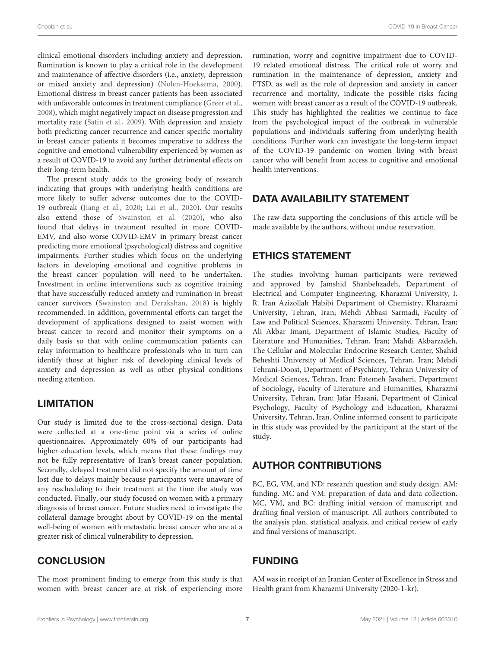clinical emotional disorders including anxiety and depression. Rumination is known to play a critical role in the development and maintenance of affective disorders (i.e., anxiety, depression or mixed anxiety and depression) [\(Nolen-Hoeksema,](#page-8-10) [2000\)](#page-8-10). Emotional distress in breast cancer patients has been associated with unfavorable outcomes in treatment compliance [\(Greer et al.,](#page-8-31) [2008\)](#page-8-31), which might negatively impact on disease progression and mortality rate [\(Satin et al.,](#page-9-18) [2009\)](#page-9-18). With depression and anxiety both predicting cancer recurrence and cancer specific mortality in breast cancer patients it becomes imperative to address the cognitive and emotional vulnerability experienced by women as a result of COVID-19 to avoid any further detrimental effects on their long-term health.

The present study adds to the growing body of research indicating that groups with underlying health conditions are more likely to suffer adverse outcomes due to the COVID-19 outbreak [\(Jiang et al.,](#page-8-32) [2020;](#page-8-32) [Lai et al.,](#page-8-33) [2020\)](#page-8-33). Our results also extend those of [Swainston et al.](#page-9-9) [\(2020\)](#page-9-9), who also found that delays in treatment resulted in more COVID-EMV, and also worse COVID-EMV in primary breast cancer predicting more emotional (psychological) distress and cognitive impairments. Further studies which focus on the underlying factors in developing emotional and cognitive problems in the breast cancer population will need to be undertaken. Investment in online interventions such as cognitive training that have successfully reduced anxiety and rumination in breast cancer survivors [\(Swainston and Derakshan,](#page-9-13) [2018\)](#page-9-13) is highly recommended. In addition, governmental efforts can target the development of applications designed to assist women with breast cancer to record and monitor their symptoms on a daily basis so that with online communication patients can relay information to healthcare professionals who in turn can identify those at higher risk of developing clinical levels of anxiety and depression as well as other physical conditions needing attention.

# **LIMITATION**

Our study is limited due to the cross-sectional design. Data were collected at a one-time point via a series of online questionnaires. Approximately 60% of our participants had higher education levels, which means that these findings may not be fully representative of Iran's breast cancer population. Secondly, delayed treatment did not specify the amount of time lost due to delays mainly because participants were unaware of any rescheduling to their treatment at the time the study was conducted. Finally, our study focused on women with a primary diagnosis of breast cancer. Future studies need to investigate the collateral damage brought about by COVID-19 on the mental well-being of women with metastatic breast cancer who are at a greater risk of clinical vulnerability to depression.

# **CONCLUSION**

The most prominent finding to emerge from this study is that women with breast cancer are at risk of experiencing more rumination, worry and cognitive impairment due to COVID-19 related emotional distress. The critical role of worry and rumination in the maintenance of depression, anxiety and PTSD, as well as the role of depression and anxiety in cancer recurrence and mortality, indicate the possible risks facing women with breast cancer as a result of the COVID-19 outbreak. This study has highlighted the realities we continue to face from the psychological impact of the outbreak in vulnerable populations and individuals suffering from underlying health conditions. Further work can investigate the long-term impact of the COVID-19 pandemic on women living with breast cancer who will benefit from access to cognitive and emotional health interventions.

# DATA AVAILABILITY STATEMENT

The raw data supporting the conclusions of this article will be made available by the authors, without undue reservation.

## ETHICS STATEMENT

The studies involving human participants were reviewed and approved by Jamshid Shanbehzadeh, Department of Electrical and Computer Engineering, Kharazmi University, I. R. Iran Azizollah Habibi Department of Chemistry, Kharazmi University, Tehran, Iran; Mehdi Abbasi Sarmadi, Faculty of Law and Political Sciences, Kharazmi University, Tehran, Iran; Ali Akbar Imani, Department of Islamic Studies, Faculty of Literature and Humanities, Tehran, Iran; Mahdi Akbarzadeh, The Cellular and Molecular Endocrine Research Center, Shahid Beheshti University of Medical Sciences, Tehran, Iran; Mehdi Tehrani-Doost, Department of Psychiatry, Tehran University of Medical Sciences, Tehran, Iran; Fatemeh Javaheri, Department of Sociology, Faculty of Literature and Humanities, Kharazmi University, Tehran, Iran; Jafar Hasani, Department of Clinical Psychology, Faculty of Psychology and Education, Kharazmi University, Tehran, Iran. Online informed consent to participate in this study was provided by the participant at the start of the study.

# AUTHOR CONTRIBUTIONS

BC, EG, VM, and ND: research question and study design. AM: funding. MC and VM: preparation of data and data collection. MC, VM, and BC: drafting initial version of manuscript and drafting final version of manuscript. All authors contributed to the analysis plan, statistical analysis, and critical review of early and final versions of manuscript.

# FUNDING

AM was in receipt of an Iranian Center of Excellence in Stress and Health grant from Kharazmi University (2020-1-kr).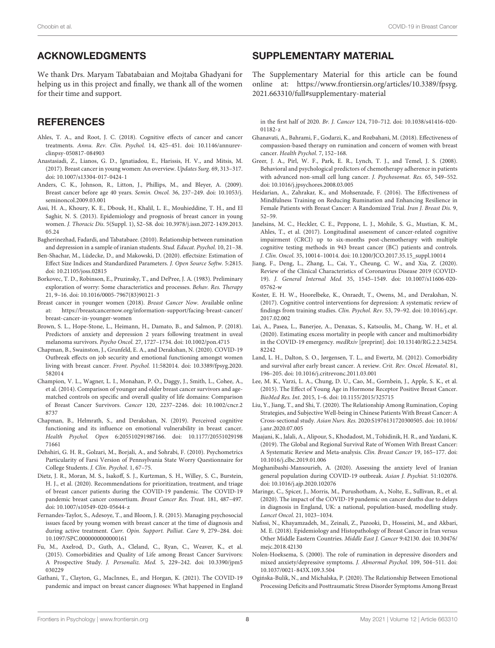## ACKNOWLEDGMENTS

We thank Drs. Maryam Tabatabaian and Mojtaba Ghadyani for helping us in this project and finally, we thank all of the women for their time and support.

## **REFERENCES**

- <span id="page-8-7"></span>Ahles, T. A., and Root, J. C. (2018). Cognitive effects of cancer and cancer treatments. Annu. Rev. Clin. Psychol. 14, 425–451. [doi: 10.1146/annurev](https://doi.org/10.1146/annurev-clinpsy-050817-084903)[clinpsy-050817-084903](https://doi.org/10.1146/annurev-clinpsy-050817-084903)
- <span id="page-8-6"></span>Anastasiadi, Z., Lianos, G. D., Ignatiadou, E., Harissis, H. V., and Mitsis, M. (2017). Breast cancer in young women: An overview. Updates Surg. 69, 313–317. [doi: 10.1007/s13304-017-0424-1](https://doi.org/10.1007/s13304-017-0424-1)
- <span id="page-8-26"></span>Anders, C. K., Johnson, R., Litton, J., Phillips, M., and Bleyer, A. (2009). Breast cancer before age 40 years. Semin. Oncol. 36, 237–249. [doi: 10.1053/j.](https://doi.org/10.1053/j.seminoncol.2009.03.001) [seminoncol.2009.03.001](https://doi.org/10.1053/j.seminoncol.2009.03.001)
- <span id="page-8-27"></span>Assi, H. A., Khoury, K. E., Dbouk, H., Khalil, L. E., Mouhieddine, T. H., and El Saghir, N. S. (2013). Epidemiology and prognosis of breast cancer in young women. J. Thoracic Dis. 5(Suppl. 1), S2–S8. [doi: 10.3978/j.issn.2072-1439.2013.](https://doi.org/10.3978/j.issn.2072-1439.2013.05.24) [05.24](https://doi.org/10.3978/j.issn.2072-1439.2013.05.24)
- <span id="page-8-18"></span>Bagherinezhad, Fadardi, and Tabatabaee. (2010). Relationship between rumination and depression in a sample of iranian students. Stud. Educat. Psychol. 10, 21–38.
- <span id="page-8-25"></span>Ben-Shachar, M., Lüdecke, D., and Makowski, D. (2020). effectsize: Estimation of Effect Size Indices and Standardized Parameters. J. Open Source Softw. 5:2815. [doi: 10.21105/joss.02815](https://doi.org/10.21105/joss.02815)
- <span id="page-8-11"></span>Borkovec, T. D., Robinson, E., Pruzinsky, T., and DePree, J. A. (1983). Preliminary exploration of worry: Some characteristics and processes. Behav. Res. Therapy 21, 9–16. [doi: 10.1016/0005-7967\(83\)90121-3](https://doi.org/10.1016/0005-7967(83)90121-3)
- <span id="page-8-16"></span>Breast cancer in younger women (2018). Breast Cancer Now. Available online at: [https://breastcancernow.org/information-support/facing-breast-cancer/](https://breastcancernow.org/information-support/facing-breast-cancer/breast-cancer-in-younger-women) [breast-cancer-in-younger-women](https://breastcancernow.org/information-support/facing-breast-cancer/breast-cancer-in-younger-women)
- <span id="page-8-13"></span>Brown, S. L., Hope-Stone, L., Heimann, H., Damato, B., and Salmon, P. (2018). Predictors of anxiety and depression 2 years following treatment in uveal melanoma survivors. Psycho Oncol. 27, 1727–1734. [doi: 10.1002/pon.4715](https://doi.org/10.1002/pon.4715)
- <span id="page-8-21"></span>Chapman, B., Swainston, J., Grunfeld, E. A., and Derakshan, N. (2020). COVID-19 Outbreak effects on job security and emotional functioning amongst women living with breast cancer. Front. Psychol. 11:582014. [doi: 10.3389/fpsyg.2020.](https://doi.org/10.3389/fpsyg.2020.582014) [582014](https://doi.org/10.3389/fpsyg.2020.582014)
- <span id="page-8-28"></span>Champion, V. L., Wagner, L. I., Monahan, P. O., Daggy, J., Smith, L., Cohee, A., et al. (2014). Comparison of younger and older breast cancer survivors and agematched controls on specific and overall quality of life domains: Comparison of Breast Cancer Survivors. Cancer 120, 2237–2246. [doi: 10.1002/cncr.2](https://doi.org/10.1002/cncr.28737) [8737](https://doi.org/10.1002/cncr.28737)
- <span id="page-8-8"></span>Chapman, B., Helmrath, S., and Derakshan, N. (2019). Perceived cognitive functioning and its influence on emotional vulnerability in breast cancer. Health Psychol. Open 6:205510291987166. [doi: 10.1177/20551029198](https://doi.org/10.1177/2055102919871661) [71661](https://doi.org/10.1177/2055102919871661)
- <span id="page-8-22"></span>Dehshiri, G. H. R., Golzari, M., Borjali, A., and Sohrabi, F. (2010). Psychometrics Particularity of Farsi Version of Pennsylvania State Worry Questionnaire for College Students. J. Clin. Psychol. 1, 67–75.
- <span id="page-8-2"></span>Dietz, J. R., Moran, M. S., Isakoff, S. J., Kurtzman, S. H., Willey, S. C., Burstein, H. J., et al. (2020). Recommendations for prioritization, treatment, and triage of breast cancer patients during the COVID-19 pandemic. The COVID-19 pandemic breast cancer consortium. Breast Cancer Res. Treat. 181, 487–497. [doi: 10.1007/s10549-020-05644-z](https://doi.org/10.1007/s10549-020-05644-z)
- <span id="page-8-15"></span>Fernandes-Taylor, S., Adesoye, T., and Bloom, J. R. (2015). Managing psychosocial issues faced by young women with breast cancer at the time of diagnosis and during active treatment. Curr. Opin. Support. Palliat. Care 9, 279–284. [doi:](https://doi.org/10.1097/SPC.0000000000000161) [10.1097/SPC.0000000000000161](https://doi.org/10.1097/SPC.0000000000000161)
- <span id="page-8-23"></span>Fu, M., Axelrod, D., Guth, A., Cleland, C., Ryan, C., Weaver, K., et al. (2015). Comorbidities and Quality of Life among Breast Cancer Survivors: A Prospective Study. J. Personaliz. Med. 5, 229–242. [doi: 10.3390/jpm5](https://doi.org/10.3390/jpm5030229) [030229](https://doi.org/10.3390/jpm5030229)
- <span id="page-8-3"></span>Gathani, T., Clayton, G., MacInnes, E., and Horgan, K. (2021). The COVID-19 pandemic and impact on breast cancer diagnoses: What happened in England

#### <span id="page-8-24"></span>SUPPLEMENTARY MATERIAL

The Supplementary Material for this article can be found online at: [https://www.frontiersin.org/articles/10.3389/fpsyg.](https://www.frontiersin.org/articles/10.3389/fpsyg.2021.663310/full#supplementary-material) [2021.663310/full#supplementary-material](https://www.frontiersin.org/articles/10.3389/fpsyg.2021.663310/full#supplementary-material)

in the first half of 2020. Br. J. Cancer 124, 710–712. [doi: 10.1038/s41416-020-](https://doi.org/10.1038/s41416-020-01182-z) [01182-z](https://doi.org/10.1038/s41416-020-01182-z)

- <span id="page-8-20"></span>Ghanavati, A., Bahrami, F., Godarzi, K., and Rozbahani, M. (2018). Effectiveness of compassion-based therapy on rumination and concern of women with breast cancer. Health Psychol. 7, 152–168.
- <span id="page-8-31"></span>Greer, J. A., Pirl, W. F., Park, E. R., Lynch, T. J., and Temel, J. S. (2008). Behavioral and psychological predictors of chemotherapy adherence in patients with advanced non-small cell lung cancer. J. Psychosomat. Res. 65, 549–552. [doi: 10.1016/j.jpsychores.2008.03.005](https://doi.org/10.1016/j.jpsychores.2008.03.005)
- <span id="page-8-19"></span>Heidarian, A., Zahrakar, K., and Mohsenzade, F. (2016). The Effectiveness of Mindfulness Training on Reducing Rumination and Enhancing Resilience in Female Patients with Breast Cancer: A Randomized Trial. Iran J. Breast Dis. 9, 52–59.
- <span id="page-8-17"></span>Janelsins, M. C., Heckler, C. E., Peppone, L. J., Mohile, S. G., Mustian, K. M., Ahles, T., et al. (2017). Longitudinal assessment of cancer-related cognitive impairment (CRCI) up to six-months post-chemotherapy with multiple cognitive testing methods in 943 breast cancer (BC) patients and controls. J. Clin. Oncol. 35, 10014–10014. [doi: 10.1200/JCO.2017.35.15\\_suppl.10014](https://doi.org/10.1200/JCO.2017.35.15_suppl.10014)
- <span id="page-8-32"></span>Jiang, F., Deng, L., Zhang, L., Cai, Y., Cheung, C. W., and Xia, Z. (2020). Review of the Clinical Characteristics of Coronavirus Disease 2019 (COVID-19). J. General Internal Med. 35, 1545–1549. [doi: 10.1007/s11606-020-](https://doi.org/10.1007/s11606-020-05762-w) [05762-w](https://doi.org/10.1007/s11606-020-05762-w)
- <span id="page-8-9"></span>Koster, E. H. W., Hoorelbeke, K., Onraedt, T., Owens, M., and Derakshan, N. (2017). Cognitive control interventions for depression: A systematic review of findings from training studies. Clin. Psychol. Rev. 53, 79–92. [doi: 10.1016/j.cpr.](https://doi.org/10.1016/j.cpr.2017.02.002) [2017.02.002](https://doi.org/10.1016/j.cpr.2017.02.002)
- <span id="page-8-33"></span>Lai, A., Pasea, L., Banerjee, A., Denaxas, S., Katsoulis, M., Chang, W. H., et al. (2020). Estimating excess mortality in people with cancer and multimorbidity in the COVID-19 emergency. medRxiv [preprint]. [doi: 10.13140/RG.2.2.34254.](https://doi.org/10.13140/RG.2.2.34254.82242) [82242](https://doi.org/10.13140/RG.2.2.34254.82242)
- <span id="page-8-30"></span>Land, L. H., Dalton, S. O., Jørgensen, T. L., and Ewertz, M. (2012). Comorbidity and survival after early breast cancer. A review. Crit. Rev. Oncol. Hematol. 81, 196–205. [doi: 10.1016/j.critrevonc.2011.03.001](https://doi.org/10.1016/j.critrevonc.2011.03.001)
- <span id="page-8-29"></span>Lee, M. K., Varzi, L. A., Chung, D. U., Cao, M., Gornbein, J., Apple, S. K., et al. (2015). The Effect of Young Age in Hormone Receptor Positive Breast Cancer. BioMed Res. Int. 2015, 1–6. [doi: 10.1155/2015/325715](https://doi.org/10.1155/2015/325715)
- <span id="page-8-14"></span>Liu, Y., Jiang, T., and Shi, T. (2020). The Relationship Among Rumination, Coping Strategies, and Subjective Well-being in Chinese Patients With Breast Cancer: A Cross-sectional study. Asian Nurs. Res. 2020:S1976131720300505. [doi: 10.1016/](https://doi.org/10.1016/j.anr.2020.07.005) [j.anr.2020.07.005](https://doi.org/10.1016/j.anr.2020.07.005)
- <span id="page-8-5"></span>Maajani, K., Jalali, A., Alipour, S., Khodadost, M., Tohidinik, H. R., and Yazdani, K. (2019). The Global and Regional Survival Rate of Women With Breast Cancer: A Systematic Review and Meta-analysis. Clin. Breast Cancer 19, 165–177. [doi:](https://doi.org/10.1016/j.clbc.2019.01.006) [10.1016/j.clbc.2019.01.006](https://doi.org/10.1016/j.clbc.2019.01.006)
- <span id="page-8-0"></span>Moghanibashi-Mansourieh, A. (2020). Assessing the anxiety level of Iranian general population during COVID-19 outbreak. Asian J. Psychiat. 51:102076. [doi: 10.1016/j.ajp.2020.102076](https://doi.org/10.1016/j.ajp.2020.102076)
- <span id="page-8-4"></span>Maringe, C., Spicer, J., Morris, M., Purushotham, A., Nolte, E., Sullivan, R., et al. (2020). The impact of the COVID-19 pandemic on cancer deaths due to delays in diagnosis in England, UK: a national, population-based, modelling study. Lancet Oncol. 21, 1023–1034.
- <span id="page-8-1"></span>Nafissi, N., Khayamzadeh, M., Zeinali, Z., Pazooki, D., Hosseini, M., and Akbari, M. E. (2018). Epidemiology and Histopathology of Breast Cancer in Iran versus Other Middle Eastern Countries. Middle East J. Cancer 9:42130. [doi: 10.30476/](https://doi.org/10.30476/mejc.2018.42130) [mejc.2018.42130](https://doi.org/10.30476/mejc.2018.42130)
- <span id="page-8-10"></span>Nolen-Hoeksema, S. (2000). The role of rumination in depressive disorders and mixed anxiety/depressive symptoms. J. Abnormal Psychol. 109, 504–511. [doi:](https://doi.org/10.1037/0021-843X.109.3.504) [10.1037/0021-843X.109.3.504](https://doi.org/10.1037/0021-843X.109.3.504)
- <span id="page-8-12"></span>Oginska-Bulik, N., and Michalska, P. (2020). The Relationship Between Emotional ´ Processing Deficits and Posttraumatic Stress Disorder Symptoms Among Breast